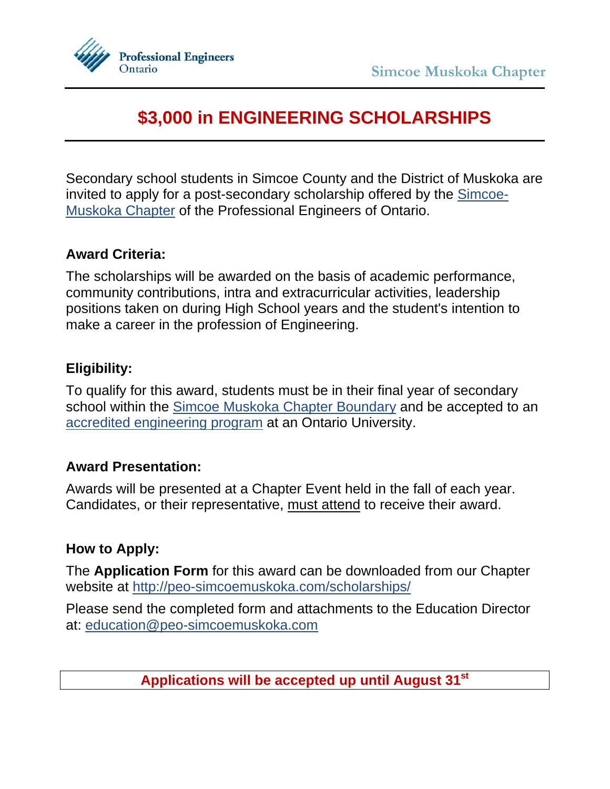

# **\$3,000 in ENGINEERING SCHOLARSHIPS**

Secondary school students in Simcoe County and the District of Muskoka are [invited to apply for a post-secondary scholarship offered by the Simcoe-](http://peo-simcoemuskoka.com/)Muskoka Chapter of the Professional Engineers of Ontario.

## **Award Criteria:**

The scholarships will be awarded on the basis of academic performance, community contributions, intra and extracurricular activities, leadership positions taken on during High School years and the student's intention to make a career in the profession of Engineering.

## **Eligibility:**

To qualify for this award, students must be in their final year of secondary school within the [Simcoe Muskoka Chapter Boundary](http://peo-simcoemuskoka.com/about/) and be accepted to an [accredited engineering program](https://engineerscanada.ca/accreditation/accredited-programs-by-institution) at an Ontario University.

## **Award Presentation:**

Awards will be presented at a Chapter Event held in the fall of each year. Candidates, or their representative, must attend to receive their award.

## **How to Apply:**

The **Application Form** for this award can be downloaded from our Chapter website at http://peo-simcoemuskoka.com/scholarships/

Please send the completed form and attachments to the Education Director at: education@peo-simcoemuskoka.com

**Applications will be accepted up until August 31st**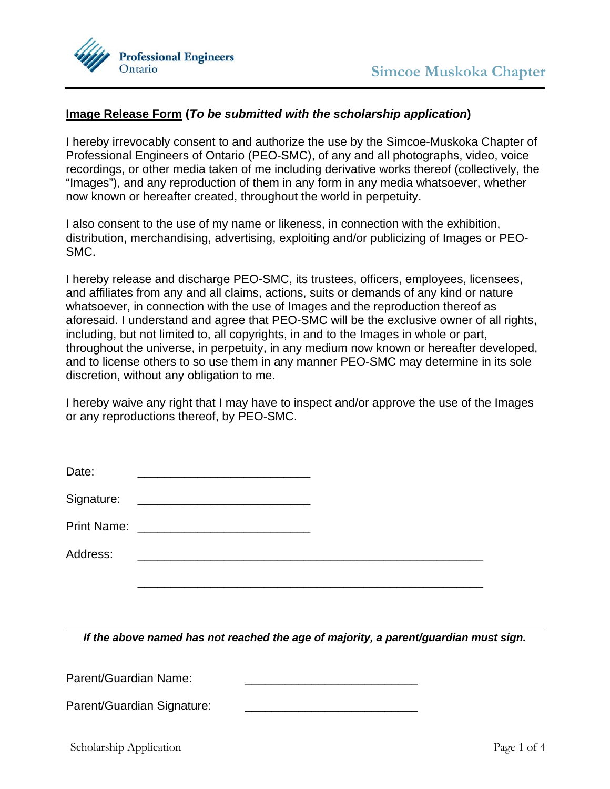

#### **Image Release Form (***To be submitted with the scholarship application***)**

I hereby irrevocably consent to and authorize the use by the Simcoe-Muskoka Chapter of Professional Engineers of Ontario (PEO-SMC), of any and all photographs, video, voice recordings, or other media taken of me including derivative works thereof (collectively, the "Images"), and any reproduction of them in any form in any media whatsoever, whether now known or hereafter created, throughout the world in perpetuity.

I also consent to the use of my name or likeness, in connection with the exhibition, distribution, merchandising, advertising, exploiting and/or publicizing of Images or PEO-SMC.

I hereby release and discharge PEO-SMC, its trustees, officers, employees, licensees, and affiliates from any and all claims, actions, suits or demands of any kind or nature whatsoever, in connection with the use of Images and the reproduction thereof as aforesaid. I understand and agree that PEO-SMC will be the exclusive owner of all rights, including, but not limited to, all copyrights, in and to the Images in whole or part, throughout the universe, in perpetuity, in any medium now known or hereafter developed, and to license others to so use them in any manner PEO-SMC may determine in its sole discretion, without any obligation to me.

I hereby waive any right that I may have to inspect and/or approve the use of the Images or any reproductions thereof, by PEO-SMC.

| Date:      | <u> 1989 - Johann Stein, mars an deutscher Stein und der Stein und der Stein und der Stein und der Stein und der</u>   |  |
|------------|------------------------------------------------------------------------------------------------------------------------|--|
| Signature: | <u> 1980 - Johann Stoff, deutscher Stoff und der Stoff und der Stoff und der Stoff und der Stoff und der Stoff und</u> |  |
|            |                                                                                                                        |  |
| Address:   | <u> 1980 - Jan James Alexander (f. 1980)</u>                                                                           |  |
|            |                                                                                                                        |  |

*If the above named has not reached the age of majority, a parent/guardian must sign.* 

Parent/Guardian Name:

Parent/Guardian Signature: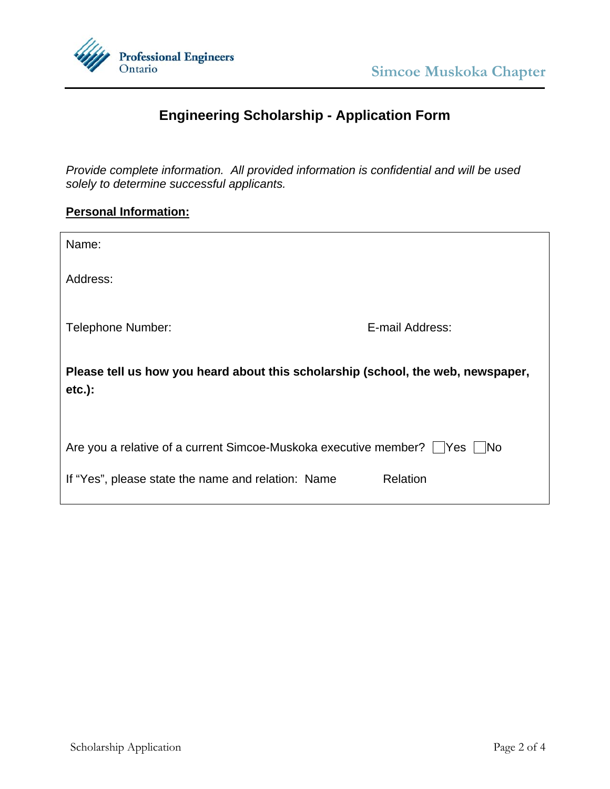



## **Engineering Scholarship - Application Form**

*Provide complete information. All provided information is confidential and will be used solely to determine successful applicants.* 

## **Personal Information:**

| Name:                                                                                         |                 |  |  |  |
|-----------------------------------------------------------------------------------------------|-----------------|--|--|--|
| Address:                                                                                      |                 |  |  |  |
| Telephone Number:                                                                             | E-mail Address: |  |  |  |
| Please tell us how you heard about this scholarship (school, the web, newspaper,<br>$etc.$ ): |                 |  |  |  |
| Are you a relative of a current Simcoe-Muskoka executive member?     Yes     No               |                 |  |  |  |
| If "Yes", please state the name and relation: Name                                            | Relation        |  |  |  |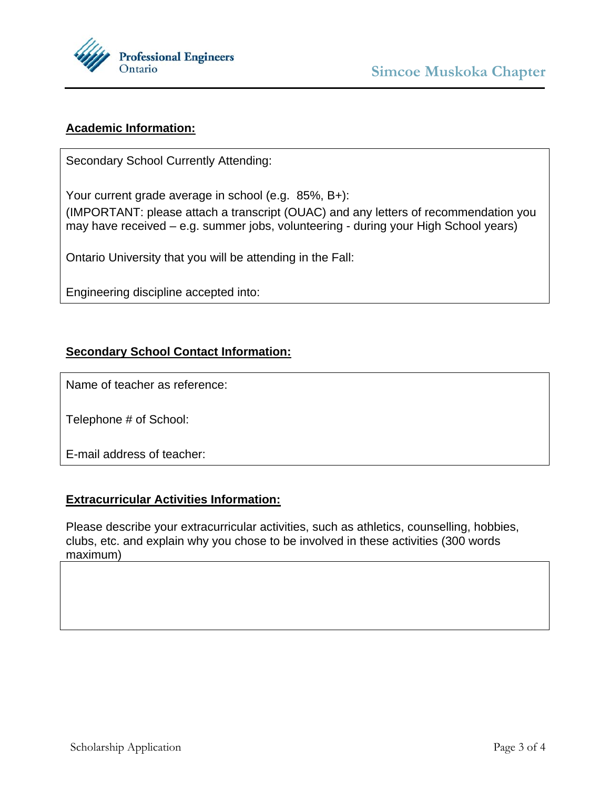

## **Academic Information:**

Secondary School Currently Attending:

Your current grade average in school (e.g. 85%, B+):

(IMPORTANT: please attach a transcript (OUAC) and any letters of recommendation you may have received – e.g. summer jobs, volunteering - during your High School years)

Ontario University that you will be attending in the Fall:

Engineering discipline accepted into:

### **Secondary School Contact Information:**

Name of teacher as reference:

Telephone # of School:

E-mail address of teacher:

#### **Extracurricular Activities Information:**

Please describe your extracurricular activities, such as athletics, counselling, hobbies, clubs, etc. and explain why you chose to be involved in these activities (300 words maximum)